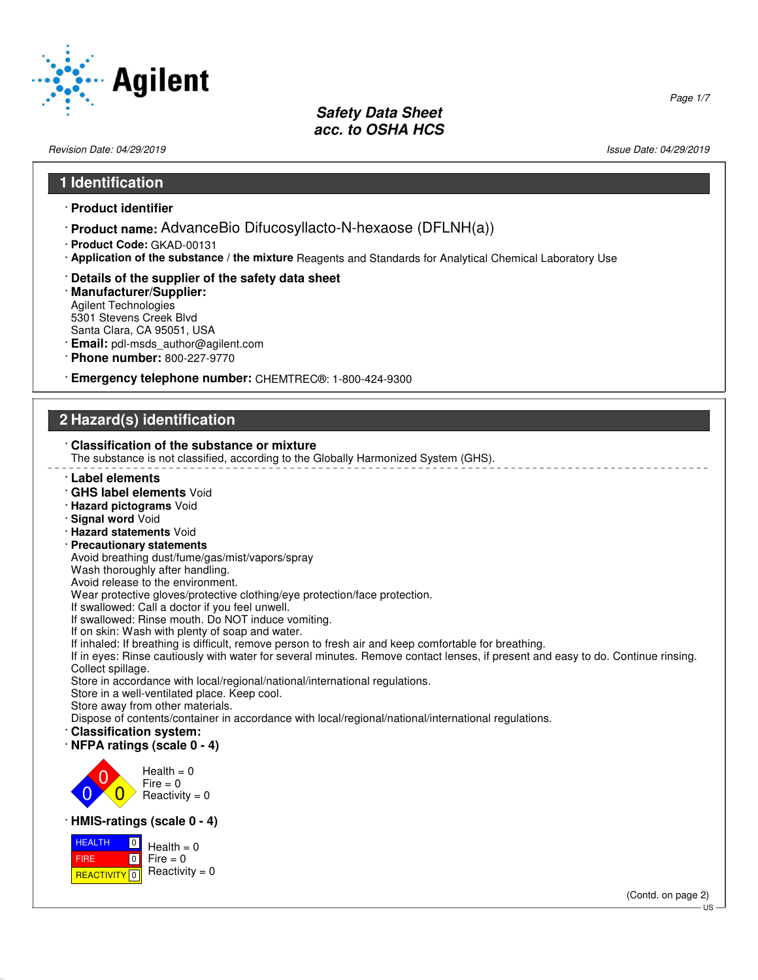

Revision Date: 04/29/2019 Issue Date: 04/29/2019

Page 1/7

#### **1 Identification**

- · **Product identifier**
- · **Product name:** AdvanceBio Difucosyllacto-N-hexaose (DFLNH(a))
- · **Product Code:** GKAD-00131
- · **Application of the substance / the mixture** Reagents and Standards for Analytical Chemical Laboratory Use
- · **Details of the supplier of the safety data sheet**
- · **Manufacturer/Supplier:** Agilent Technologies 5301 Stevens Creek Blvd Santa Clara, CA 95051, USA
- · **Email:** pdl-msds\_author@agilent.com
- · **Phone number:** 800-227-9770
- · **Emergency telephone number:** CHEMTREC®: 1-800-424-9300

## **2 Hazard(s) identification**

#### · **Classification of the substance or mixture**

The substance is not classified, according to the Globally Harmonized System (GHS).

- · **Label elements**
- · **GHS label elements** Void
- · **Hazard pictograms** Void
- · **Signal word** Void
- · **Hazard statements** Void
- · **Precautionary statements**
- Avoid breathing dust/fume/gas/mist/vapors/spray
- Wash thoroughly after handling.
- Avoid release to the environment.

Wear protective gloves/protective clothing/eye protection/face protection.

If swallowed: Call a doctor if you feel unwell.

If swallowed: Rinse mouth. Do NOT induce vomiting.

If on skin: Wash with plenty of soap and water.

If inhaled: If breathing is difficult, remove person to fresh air and keep comfortable for breathing.

If in eyes: Rinse cautiously with water for several minutes. Remove contact lenses, if present and easy to do. Continue rinsing. Collect spillage.

Store in accordance with local/regional/national/international regulations.

Store in a well-ventilated place. Keep cool.

Store away from other materials.

Dispose of contents/container in accordance with local/regional/national/international regulations.

- · **Classification system:**
- · **NFPA ratings (scale 0 4)**



#### · **HMIS-ratings (scale 0 - 4)**

 HEALTH FIRE <mark>| REACTIVITY</mark> | 0  $\boxed{0}$  $\boxed{0}$  $Health = 0$  $Fire = 0$ Reactivity  $= 0$ 

(Contd. on page 2)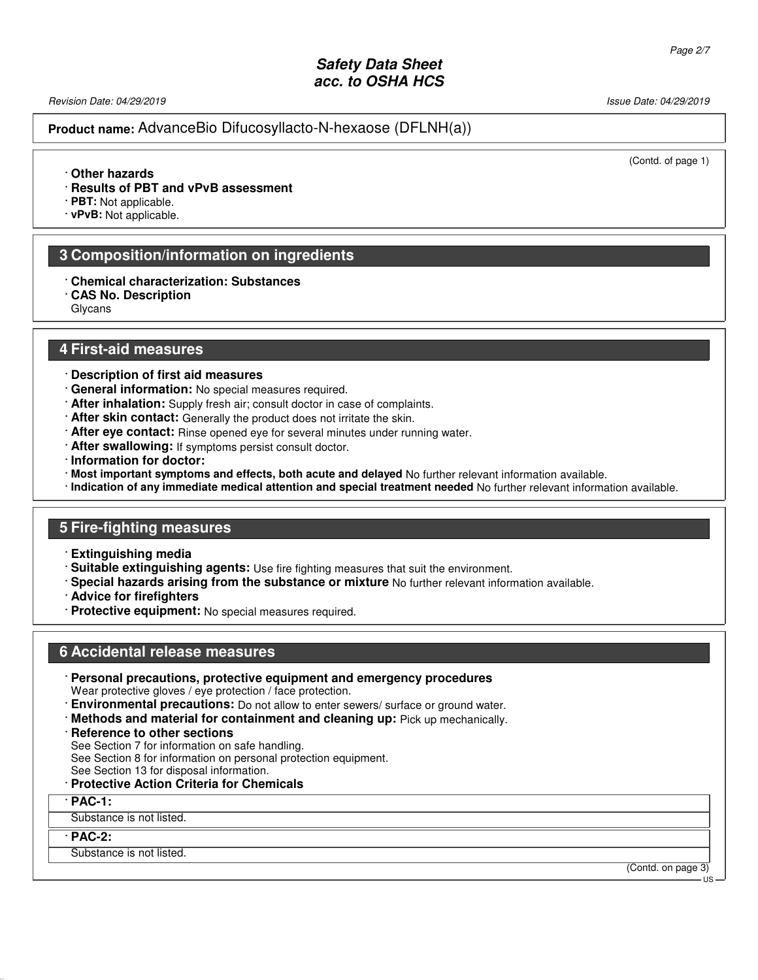Revision Date: 04/29/2019 Issue Date: 04/29/2019

#### **Product name:** AdvanceBio Difucosyllacto-N-hexaose (DFLNH(a))

(Contd. of page 1)

#### · **Other hazards**

- · **Results of PBT and vPvB assessment**
- · **PBT:** Not applicable.
- · **vPvB:** Not applicable.

#### **3 Composition/information on ingredients**

- · **Chemical characterization: Substances**
- · **CAS No. Description**

Glycans

#### **4 First-aid measures**

- · **Description of first aid measures**
- · **General information:** No special measures required.
- · **After inhalation:** Supply fresh air; consult doctor in case of complaints.
- · **After skin contact:** Generally the product does not irritate the skin.
- · **After eye contact:** Rinse opened eye for several minutes under running water.
- · **After swallowing:** If symptoms persist consult doctor.
- · **Information for doctor:**
- · **Most important symptoms and effects, both acute and delayed** No further relevant information available.
- · **Indication of any immediate medical attention and special treatment needed** No further relevant information available.

#### **5 Fire-fighting measures**

- · **Extinguishing media**
- · **Suitable extinguishing agents:** Use fire fighting measures that suit the environment.
- · **Special hazards arising from the substance or mixture** No further relevant information available.
- · **Advice for firefighters**
- · **Protective equipment:** No special measures required.

#### **6 Accidental release measures**

· **Personal precautions, protective equipment and emergency procedures**

Wear protective gloves / eye protection / face protection.

- · **Environmental precautions:** Do not allow to enter sewers/ surface or ground water.
- · **Methods and material for containment and cleaning up:** Pick up mechanically.
- · **Reference to other sections**

See Section 7 for information on safe handling.

See Section 8 for information on personal protection equipment.

See Section 13 for disposal information.

#### · **Protective Action Criteria for Chemicals**

#### · **PAC-1:**

Substance is not listed.

#### · **PAC-2:**

Substance is not listed.

(Contd. on page 3) US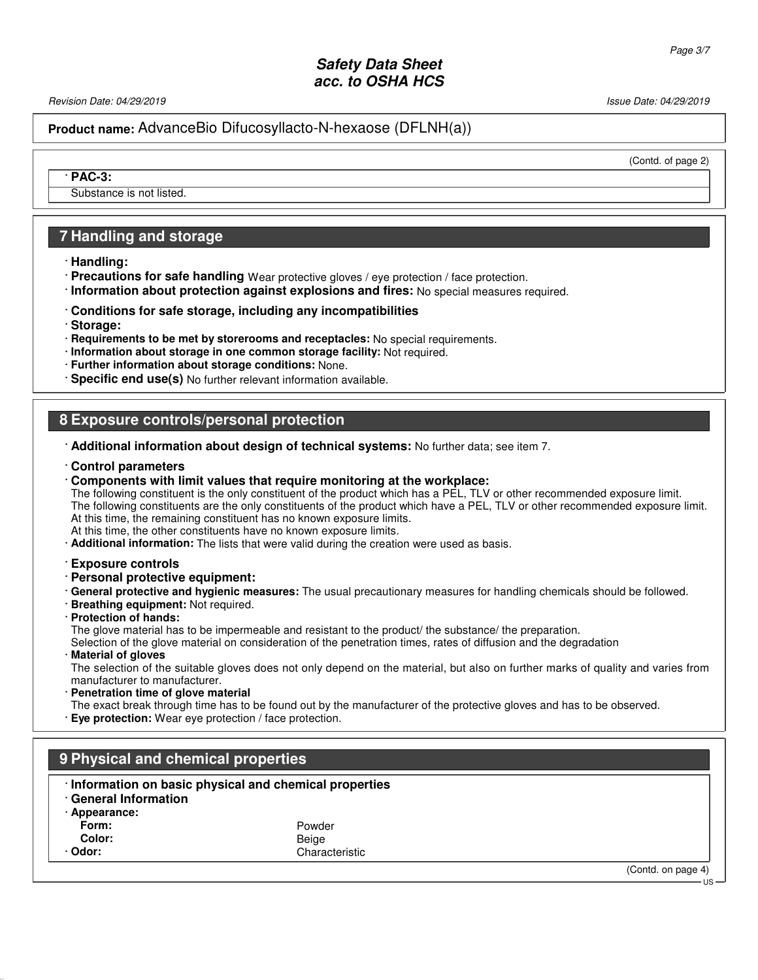Revision Date: 04/29/2019 **Issue Date: 04/29/2019** Issue Date: 04/29/2019

**Product name:** AdvanceBio Difucosyllacto-N-hexaose (DFLNH(a))

(Contd. of page 2)

· **PAC-3:**

Substance is not listed.

### **7 Handling and storage**

- · **Handling:**
- · **Precautions for safe handling** Wear protective gloves / eye protection / face protection.
- · **Information about protection against explosions and fires:** No special measures required.
- · **Conditions for safe storage, including any incompatibilities**
- · **Storage:**
- · **Requirements to be met by storerooms and receptacles:** No special requirements.
- · **Information about storage in one common storage facility:** Not required.
- · **Further information about storage conditions:** None.
- · **Specific end use(s)** No further relevant information available.

### **8 Exposure controls/personal protection**

- · **Additional information about design of technical systems:** No further data; see item 7.
- · **Control parameters**
- · **Components with limit values that require monitoring at the workplace:**

The following constituent is the only constituent of the product which has a PEL, TLV or other recommended exposure limit. The following constituents are the only constituents of the product which have a PEL, TLV or other recommended exposure limit. At this time, the remaining constituent has no known exposure limits.

- At this time, the other constituents have no known exposure limits.
- · **Additional information:** The lists that were valid during the creation were used as basis.
- · **Exposure controls**
- · **Personal protective equipment:**
- · **General protective and hygienic measures:** The usual precautionary measures for handling chemicals should be followed.
- · **Breathing equipment:** Not required.
- · **Protection of hands:** The glove material has to be impermeable and resistant to the product/ the substance/ the preparation. Selection of the glove material on consideration of the penetration times, rates of diffusion and the degradation
- · **Material of gloves**

The selection of the suitable gloves does not only depend on the material, but also on further marks of quality and varies from manufacturer to manufacturer.

**Penetration time of glove material** The exact break through time has to be found out by the manufacturer of the protective gloves and has to be observed. · **Eye protection:** Wear eye protection / face protection.

| 9 Physical and chemical properties     |                                                       |                    |  |
|----------------------------------------|-------------------------------------------------------|--------------------|--|
| · General Information<br>· Appearance: | Information on basic physical and chemical properties |                    |  |
| Form:                                  | Powder                                                |                    |  |
| Color:                                 | Beige                                                 |                    |  |
| · Odor:                                | Characteristic                                        |                    |  |
|                                        |                                                       | (Contd. on page 4) |  |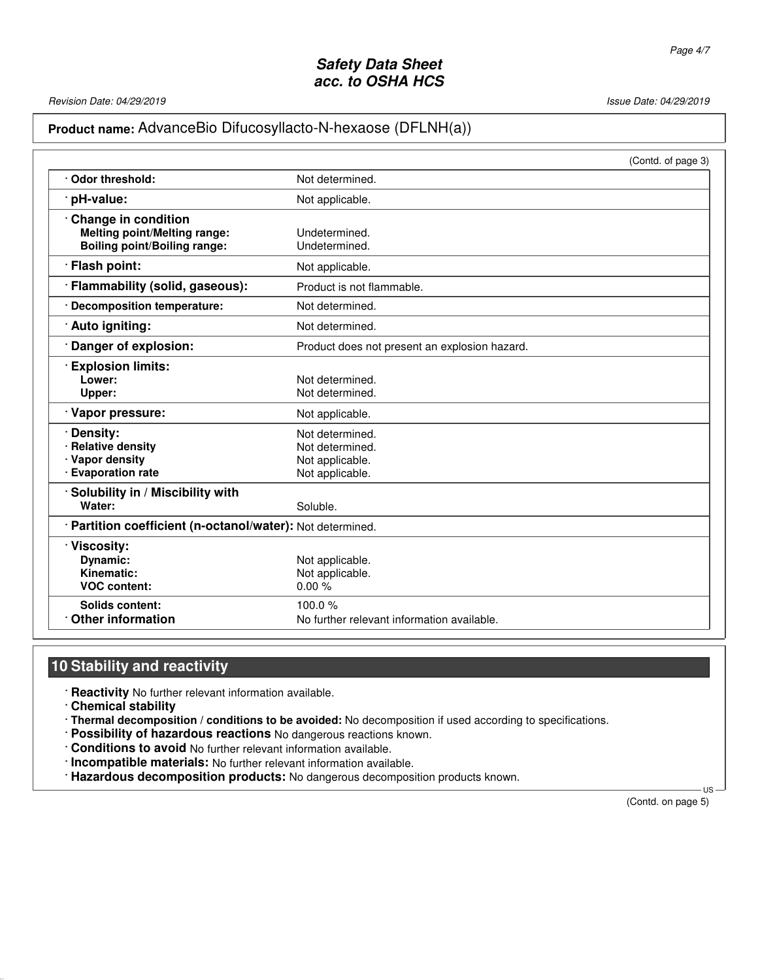Revision Date: 04/29/2019 **Issue Date: 04/29/2019** Issue Date: 04/29/2019

# **Product name:** AdvanceBio Difucosyllacto-N-hexaose (DFLNH(a))

|                                                            | (Contd. of page 3)                            |  |
|------------------------------------------------------------|-----------------------------------------------|--|
| Odor threshold:                                            | Not determined.                               |  |
| pH-value:                                                  | Not applicable.                               |  |
| <b>Change in condition</b>                                 |                                               |  |
| <b>Melting point/Melting range:</b>                        | Undetermined.                                 |  |
| <b>Boiling point/Boiling range:</b>                        | Undetermined.                                 |  |
| · Flash point:                                             | Not applicable.                               |  |
| · Flammability (solid, gaseous):                           | Product is not flammable.                     |  |
| <b>Decomposition temperature:</b>                          | Not determined.                               |  |
| · Auto igniting:                                           | Not determined.                               |  |
| Danger of explosion:                                       | Product does not present an explosion hazard. |  |
| <b>Explosion limits:</b>                                   |                                               |  |
| Lower:                                                     | Not determined.                               |  |
| Upper:                                                     | Not determined.                               |  |
| Vapor pressure:                                            | Not applicable.                               |  |
| Density:                                                   | Not determined.                               |  |
| <b>Relative density</b>                                    | Not determined.                               |  |
| · Vapor density                                            | Not applicable.                               |  |
| · Evaporation rate                                         | Not applicable.                               |  |
| Solubility in / Miscibility with                           |                                               |  |
| Water:                                                     | Soluble.                                      |  |
| · Partition coefficient (n-octanol/water): Not determined. |                                               |  |
| Viscosity:                                                 |                                               |  |
| Dynamic:                                                   | Not applicable.                               |  |
| Kinematic:                                                 | Not applicable.                               |  |
| <b>VOC content:</b>                                        | 0.00%                                         |  |
| Solids content:                                            | 100.0 $%$                                     |  |
| <b>Other information</b>                                   | No further relevant information available.    |  |

# **10 Stability and reactivity**

· **Reactivity** No further relevant information available.

· **Chemical stability**

· **Thermal decomposition / conditions to be avoided:** No decomposition if used according to specifications.

- · **Possibility of hazardous reactions** No dangerous reactions known.
- · **Conditions to avoid** No further relevant information available.
- · **Incompatible materials:** No further relevant information available.
- · **Hazardous decomposition products:** No dangerous decomposition products known.

(Contd. on page 5)

 $\overline{1}$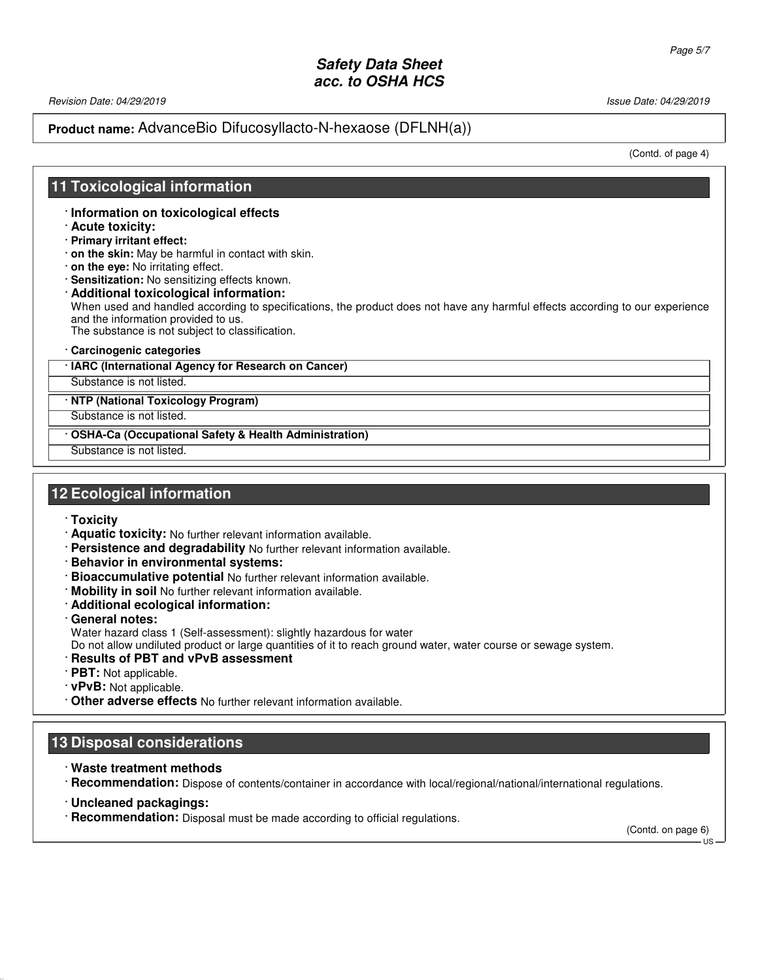Revision Date: 04/29/2019 Issue Date: 04/29/2019

### **Product name:** AdvanceBio Difucosyllacto-N-hexaose (DFLNH(a))

(Contd. of page 4)

### **11 Toxicological information**

- · **Information on toxicological effects**
- · **Acute toxicity:**
- · **Primary irritant effect:**
- · **on the skin:** May be harmful in contact with skin.
- · **on the eye:** No irritating effect.
- · **Sensitization:** No sensitizing effects known.
- · **Additional toxicological information:** When used and handled according to specifications, the product does not have any harmful effects according to our experience and the information provided to us. The substance is not subject to classification.
- · **Carcinogenic categories**

#### · **IARC (International Agency for Research on Cancer)**

Substance is not listed.

#### · **NTP (National Toxicology Program)**

Substance is not listed.

· **OSHA-Ca (Occupational Safety & Health Administration)**

Substance is not listed.

### **12 Ecological information**

- · **Toxicity**
- · **Aquatic toxicity:** No further relevant information available.
- · **Persistence and degradability** No further relevant information available.
- · **Behavior in environmental systems:**
- · **Bioaccumulative potential** No further relevant information available.
- · **Mobility in soil** No further relevant information available.
- · **Additional ecological information:**
- · **General notes:**

Water hazard class 1 (Self-assessment): slightly hazardous for water

Do not allow undiluted product or large quantities of it to reach ground water, water course or sewage system.

- · **Results of PBT and vPvB assessment**
- · **PBT:** Not applicable.
- · **vPvB:** Not applicable.
- · **Other adverse effects** No further relevant information available.

## **13 Disposal considerations**

· **Waste treatment methods**

· **Recommendation:** Dispose of contents/container in accordance with local/regional/national/international regulations.

- · **Uncleaned packagings:**
- · **Recommendation:** Disposal must be made according to official regulations.

(Contd. on page 6)

 $-11S$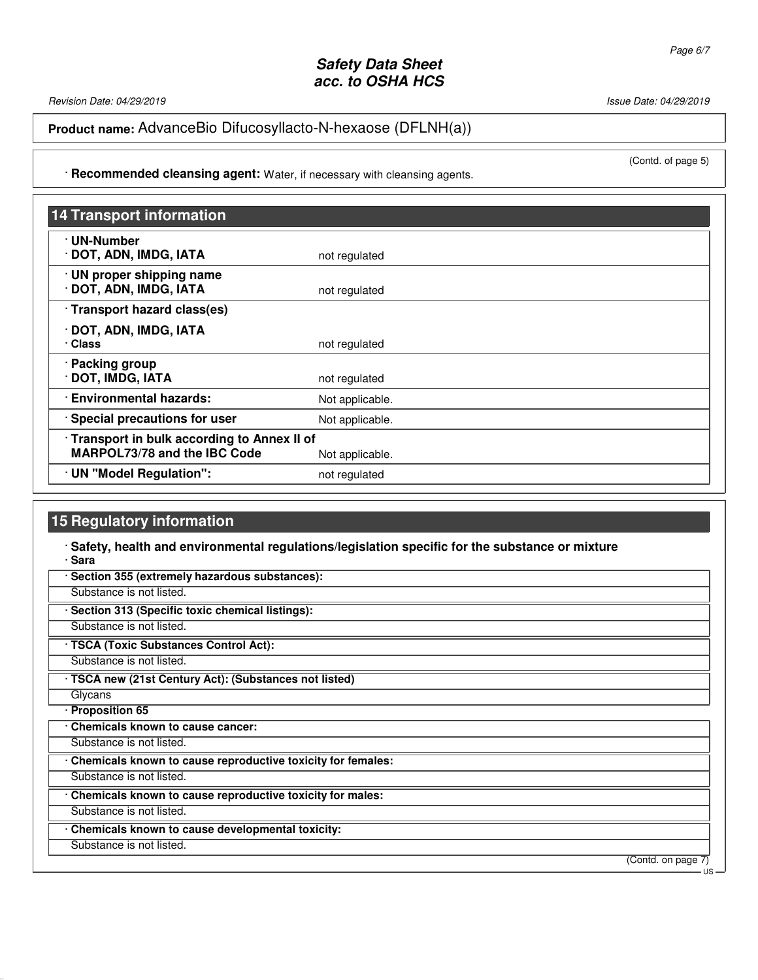Revision Date: 04/29/2019 **Issue Date: 04/29/2019** Issue Date: 04/29/2019

**Product name:** AdvanceBio Difucosyllacto-N-hexaose (DFLNH(a))

(Contd. of page 5)

· **Recommended cleansing agent:** Water, if necessary with cleansing agents.

| <b>14 Transport information</b>                                                   |                 |
|-----------------------------------------------------------------------------------|-----------------|
| · UN-Number<br>· DOT, ADN, IMDG, IATA                                             | not regulated   |
| · UN proper shipping name<br>· DOT, ADN, IMDG, IATA                               | not regulated   |
| · Transport hazard class(es)                                                      |                 |
| · DOT, ADN, IMDG, IATA<br>· Class                                                 | not regulated   |
| · Packing group<br>· DOT, IMDG, IATA                                              | not regulated   |
| · Environmental hazards:                                                          | Not applicable. |
| Special precautions for user                                                      | Not applicable. |
| Transport in bulk according to Annex II of<br><b>MARPOL73/78 and the IBC Code</b> | Not applicable. |
| · UN "Model Regulation":                                                          | not regulated   |

# **15 Regulatory information**

#### · **Safety, health and environmental regulations/legislation specific for the substance or mixture** · **Sara**

| Section 355 (extremely hazardous substances):               |                            |
|-------------------------------------------------------------|----------------------------|
| Substance is not listed.                                    |                            |
| Section 313 (Specific toxic chemical listings):             |                            |
| Substance is not listed.                                    |                            |
| · TSCA (Toxic Substances Control Act):                      |                            |
| Substance is not listed.                                    |                            |
| · TSCA new (21st Century Act): (Substances not listed)      |                            |
| Glycans                                                     |                            |
| · Proposition 65                                            |                            |
| Chemicals known to cause cancer:                            |                            |
| Substance is not listed.                                    |                            |
| Chemicals known to cause reproductive toxicity for females: |                            |
| Substance is not listed.                                    |                            |
| Chemicals known to cause reproductive toxicity for males:   |                            |
| Substance is not listed.                                    |                            |
| Chemicals known to cause developmental toxicity:            |                            |
| Substance is not listed.                                    |                            |
|                                                             | (Contd. on page 7)<br>- US |